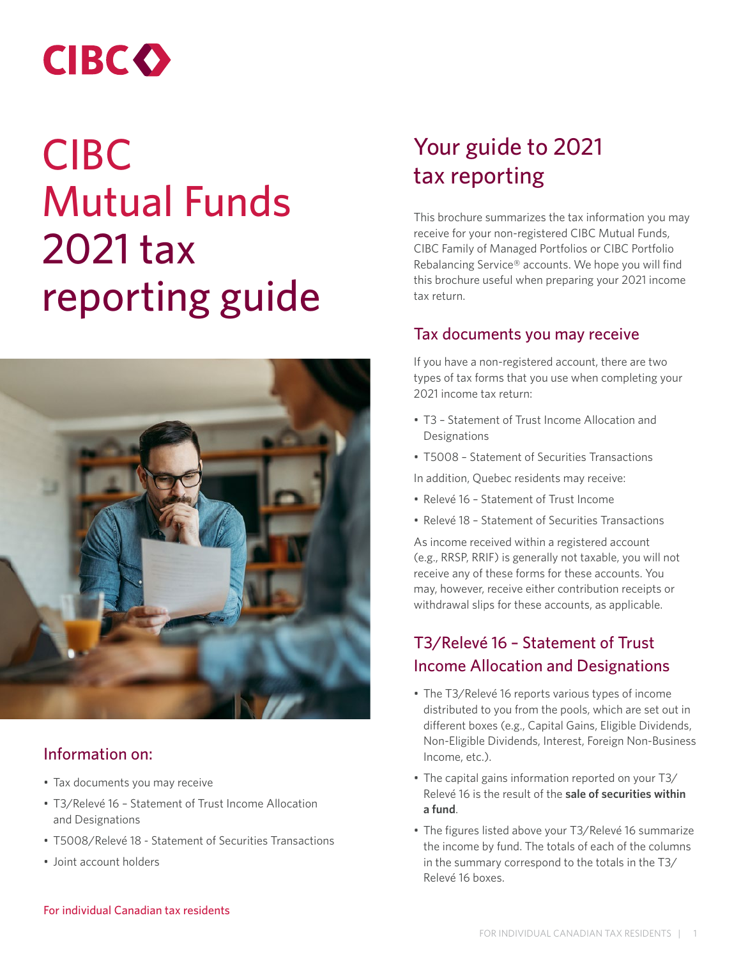# **CIBCO**

# CIBC Mutual Funds 2021 tax reporting guide



### Information on:

- Tax documents you may receive
- T3/Relevé 16 Statement of Trust Income Allocation and Designations
- T5008/Relevé 18 Statement of Securities Transactions
- Joint account holders

## Your guide to 2021 tax reporting

This brochure summarizes the tax information you may receive for your non-registered CIBC Mutual Funds, CIBC Family of Managed Portfolios or CIBC Portfolio Rebalancing Service® accounts. We hope you will find this brochure useful when preparing your 2021 income tax return.

#### Tax documents you may receive

If you have a non-registered account, there are two types of tax forms that you use when completing your 2021 income tax return:

- T3 Statement of Trust Income Allocation and Designations
- T5008 Statement of Securities Transactions
- In addition, Quebec residents may receive:
- Relevé 16 Statement of Trust Income
- Relevé 18 Statement of Securities Transactions

As income received within a registered account (e.g., RRSP, RRIF) is generally not taxable, you will not receive any of these forms for these accounts. You may, however, receive either contribution receipts or withdrawal slips for these accounts, as applicable.

### T3/Relevé 16 – Statement of Trust Income Allocation and Designations

- The T3/Relevé 16 reports various types of income distributed to you from the pools, which are set out in different boxes (e.g., Capital Gains, Eligible Dividends, Non-Eligible Dividends, Interest, Foreign Non-Business Income, etc.).
- The capital gains information reported on your T3/ Relevé 16 is the result of the **sale of securities within a fund**.
- The figures listed above your T3/Relevé 16 summarize the income by fund. The totals of each of the columns in the summary correspond to the totals in the T3/ Relevé 16 boxes.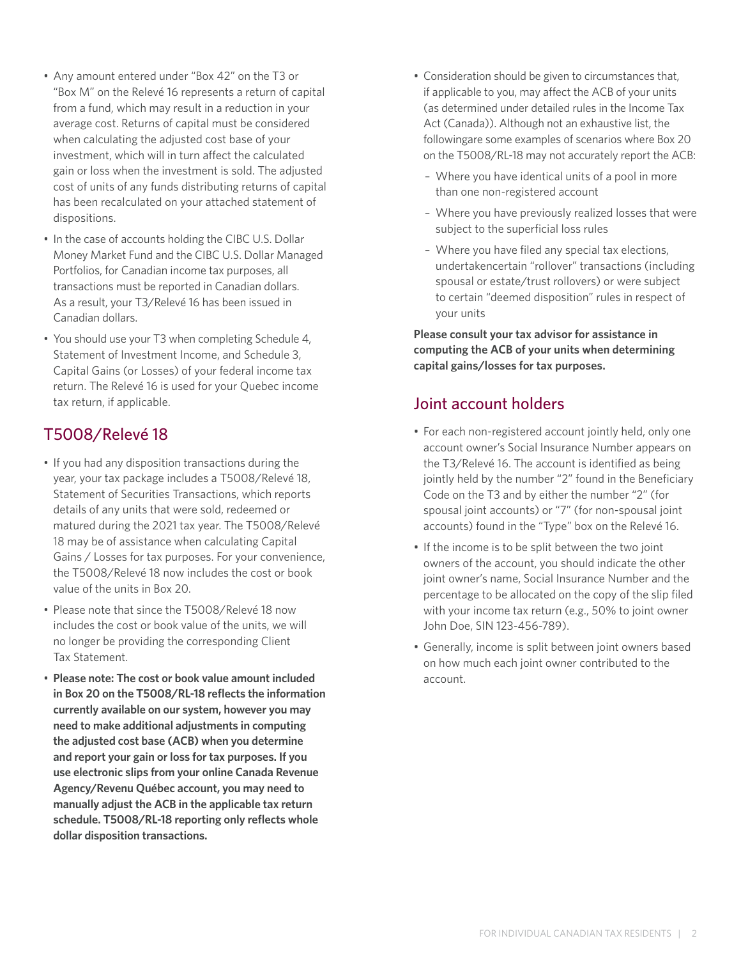- Any amount entered under "Box 42" on the T3 or "Box M" on the Relevé 16 represents a return of capital from a fund, which may result in a reduction in your average cost. Returns of capital must be considered when calculating the adjusted cost base of your investment, which will in turn affect the calculated gain or loss when the investment is sold. The adjusted cost of units of any funds distributing returns of capital has been recalculated on your attached statement of dispositions.
- In the case of accounts holding the CIBC U.S. Dollar Money Market Fund and the CIBC U.S. Dollar Managed Portfolios, for Canadian income tax purposes, all transactions must be reported in Canadian dollars. As a result, your T3/Relevé 16 has been issued in Canadian dollars.
- You should use your T3 when completing Schedule 4, Statement of Investment Income, and Schedule 3, Capital Gains (or Losses) of your federal income tax return. The Relevé 16 is used for your Quebec income tax return, if applicable.

#### T5008/Relevé 18

- If you had any disposition transactions during the year, your tax package includes a T5008/Relevé 18, Statement of Securities Transactions, which reports details of any units that were sold, redeemed or matured during the 2021 tax year. The T5008/Relevé 18 may be of assistance when calculating Capital Gains / Losses for tax purposes. For your convenience, the T5008/Relevé 18 now includes the cost or book value of the units in Box 20.
- Please note that since the T5008/Relevé 18 now includes the cost or book value of the units, we will no longer be providing the corresponding Client Tax Statement.
- **Please note: The cost or book value amount included in Box 20 on the T5008/RL-18 reflects the information currently available on our system, however you may need to make additional adjustments in computing the adjusted cost base (ACB) when you determine and report your gain or loss for tax purposes. If you use electronic slips from your online Canada Revenue Agency/Revenu Québec account, you may need to manually adjust the ACB in the applicable tax return schedule. T5008/RL-18 reporting only reflects whole dollar disposition transactions.**
- Consideration should be given to circumstances that, if applicable to you, may affect the ACB of your units (as determined under detailed rules in the Income Tax Act (Canada)). Although not an exhaustive list, the followingare some examples of scenarios where Box 20 on the T5008/RL-18 may not accurately report the ACB:
	- Where you have identical units of a pool in more than one non-registered account
	- Where you have previously realized losses that were subject to the superficial loss rules
	- Where you have filed any special tax elections, undertakencertain "rollover" transactions (including spousal or estate/trust rollovers) or were subject to certain "deemed disposition" rules in respect of your units

**Please consult your tax advisor for assistance in computing the ACB of your units when determining capital gains/losses for tax purposes.**

#### Joint account holders

- For each non-registered account jointly held, only one account owner's Social Insurance Number appears on the T3/Relevé 16. The account is identified as being jointly held by the number "2" found in the Beneficiary Code on the T3 and by either the number "2" (for spousal joint accounts) or "7" (for non-spousal joint accounts) found in the "Type" box on the Relevé 16.
- If the income is to be split between the two joint owners of the account, you should indicate the other joint owner's name, Social Insurance Number and the percentage to be allocated on the copy of the slip filed with your income tax return (e.g., 50% to joint owner John Doe, SIN 123-456-789).
- Generally, income is split between joint owners based on how much each joint owner contributed to the account.